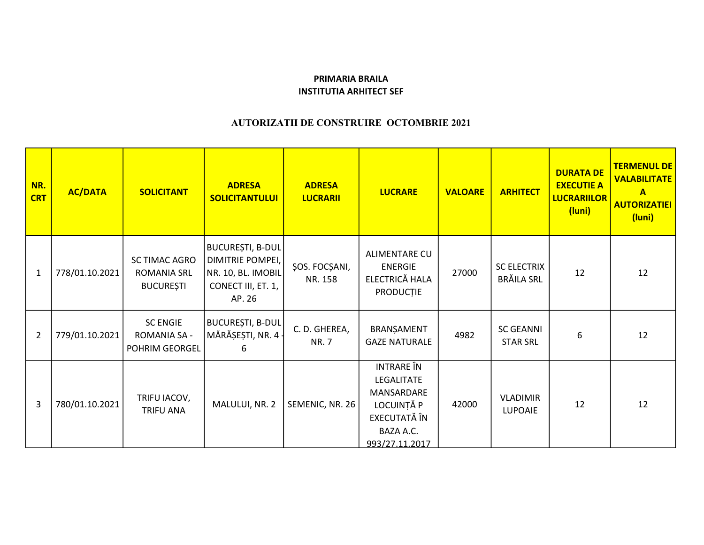## PRIMARIA BRAILA INSTITUTIA ARHITECT SEF

## AUTORIZATII DE CONSTRUIRE OCTOMBRIE 2021

| NR.<br><b>CRT</b> | <b>AC/DATA</b> | <b>SOLICITANT</b>                                       | <b>ADRESA</b><br><b>SOLICITANTULUI</b>                                                     | <b>ADRESA</b><br><b>LUCRARII</b> | <b>LUCRARE</b>                                                                                                    | <b>VALOARE</b> | <b>ARHITECT</b>                         | <b>DURATA DE</b><br><b>EXECUTIE A</b><br><b>LUCRARIILOR</b><br>(luni) | <b>TERMENUL DE</b><br><b>VALABILITATE</b><br>A<br><b>AUTORIZATIEI</b><br>(luni) |
|-------------------|----------------|---------------------------------------------------------|--------------------------------------------------------------------------------------------|----------------------------------|-------------------------------------------------------------------------------------------------------------------|----------------|-----------------------------------------|-----------------------------------------------------------------------|---------------------------------------------------------------------------------|
| 1                 | 778/01.10.2021 | SC TIMAC AGRO<br><b>ROMANIA SRL</b><br><b>BUCUREȘTI</b> | BUCUREȘTI, B-DUL<br>DIMITRIE POMPEI,<br>NR. 10, BL. IMOBIL<br>CONECT III, ET. 1,<br>AP. 26 | ŞOS. FOCŞANI,<br>NR. 158         | ALIMENTARE CU<br><b>ENERGIE</b><br>ELECTRICĂ HALA<br><b>PRODUCTIE</b>                                             | 27000          | <b>SC ELECTRIX</b><br><b>BRĂILA SRL</b> | 12                                                                    | 12                                                                              |
| $\overline{2}$    | 779/01.10.2021 | <b>SC ENGIE</b><br>ROMANIA SA -<br>POHRIM GEORGEL       | BUCUREȘTI, B-DUL<br>MĂRĂȘEȘTI, NR. 4 -<br>6                                                | C.D. GHEREA,<br><b>NR.7</b>      | BRANŞAMENT<br><b>GAZE NATURALE</b>                                                                                | 4982           | <b>SC GEANNI</b><br><b>STAR SRL</b>     | 6                                                                     | 12                                                                              |
| 3                 | 780/01.10.2021 | TRIFU IACOV,<br><b>TRIFU ANA</b>                        | MALULUI, NR. 2                                                                             | SEMENIC, NR. 26                  | <b>INTRARE</b> ÎN<br><b>LEGALITATE</b><br>MANSARDARE<br>LOCUINȚĂ P<br>EXECUTATĂ ÎN<br>BAZA A.C.<br>993/27.11.2017 | 42000          | <b>VLADIMIR</b><br><b>LUPOAIE</b>       | 12                                                                    | 12                                                                              |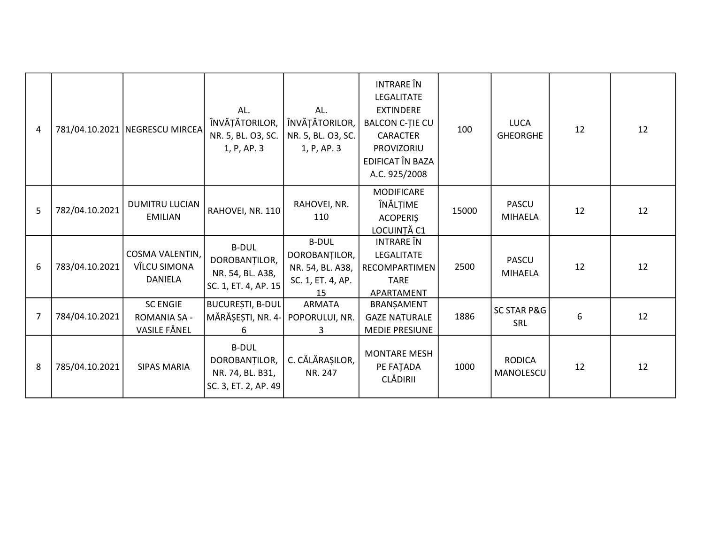| $\overline{4}$ |                | 781/04.10.2021 NEGRESCU MIRCEA                         | AL.<br>ÎNVĂȚĂTORILOR,<br>NR. 5, BL. O3, SC.<br>1, P, AP. 3                | AL.<br>ÎNVĂȚĂTORILOR,<br>NR. 5, BL. 03, SC.<br>1, P, AP. 3                   | <b>INTRARE</b> ÎN<br>LEGALITATE<br><b>EXTINDERE</b><br><b>BALCON C-TIE CU</b><br><b>CARACTER</b><br>PROVIZORIU<br>EDIFICAT ÎN BAZA<br>A.C. 925/2008 | 100   | <b>LUCA</b><br><b>GHEORGHE</b> | 12 | 12 |
|----------------|----------------|--------------------------------------------------------|---------------------------------------------------------------------------|------------------------------------------------------------------------------|-----------------------------------------------------------------------------------------------------------------------------------------------------|-------|--------------------------------|----|----|
| 5              | 782/04.10.2021 | <b>DUMITRU LUCIAN</b><br><b>EMILIAN</b>                | RAHOVEI, NR. 110                                                          | RAHOVEI, NR.<br>110                                                          | MODIFICARE<br>ÎNĂLȚIME<br><b>ACOPERIS</b><br>LOCUINȚĂ C1                                                                                            | 15000 | <b>PASCU</b><br><b>MIHAELA</b> | 12 | 12 |
| 6              | 783/04.10.2021 | COSMA VALENTIN,<br>VÎLCU SIMONA<br><b>DANIELA</b>      | <b>B-DUL</b><br>DOROBANȚILOR,<br>NR. 54, BL. A38,<br>SC. 1, ET. 4, AP. 15 | <b>B-DUL</b><br>DOROBANȚILOR,<br>NR. 54, BL. A38,<br>SC. 1, ET. 4, AP.<br>15 | <b>INTRARE</b> ÎN<br>LEGALITATE<br>RECOMPARTIMEN<br><b>TARE</b><br>APARTAMENT                                                                       | 2500  | <b>PASCU</b><br><b>MIHAELA</b> | 12 | 12 |
| 7              | 784/04.10.2021 | <b>SC ENGIE</b><br><b>ROMANIA SA -</b><br>VASILE FĂNEL | BUCUREȘTI, B-DUL<br>MĂRĂȘEȘTI, NR. 4-<br>6                                | <b>ARMATA</b><br>POPORULUI, NR.<br>3.                                        | BRANŞAMENT<br><b>GAZE NATURALE</b><br><b>MEDIE PRESIUNE</b>                                                                                         | 1886  | <b>SC STAR P&amp;G</b><br>SRL  | 6  | 12 |
| -8             | 785/04.10.2021 | <b>SIPAS MARIA</b>                                     | <b>B-DUL</b><br>DOROBANȚILOR,<br>NR. 74, BL. B31,<br>SC. 3, ET. 2, AP. 49 | C. CĂLĂRAȘILOR,<br>NR. 247                                                   | <b>MONTARE MESH</b><br>PE FAȚADA<br><b>CLĂDIRII</b>                                                                                                 | 1000  | <b>RODICA</b><br>MANOLESCU     | 12 | 12 |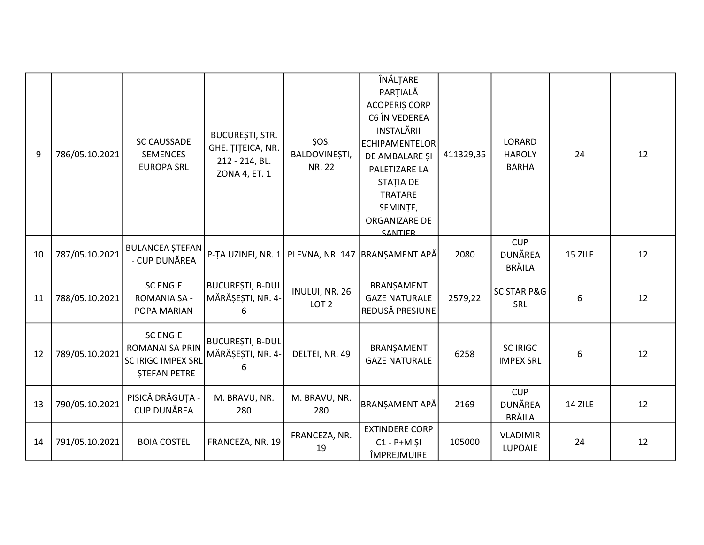| 9  | 786/05.10.2021 | <b>SC CAUSSADE</b><br><b>SEMENCES</b><br><b>EUROPA SRL</b>                 | BUCUREȘTI, STR.<br>GHE. ȚIȚEICA, NR.<br>212 - 214, BL.<br>ZONA 4, ET. 1 | ŞOS.<br>BALDOVINEȘTI,<br><b>NR. 22</b> | ÎNĂLȚARE<br>PARȚIALĂ<br><b>ACOPERIS CORP</b><br>C6 ÎN VEDEREA<br>INSTALĂRII<br><b>ECHIPAMENTELOR</b><br>DE AMBALARE ȘI<br>PALETIZARE LA<br><b>STATIA DE</b><br>TRATARE<br>SEMINȚE,<br>ORGANIZARE DE<br><b>SANTIFR</b> | 411329,35 | LORARD<br><b>HAROLY</b><br><b>BARHA</b>       | 24      | 12 |
|----|----------------|----------------------------------------------------------------------------|-------------------------------------------------------------------------|----------------------------------------|-----------------------------------------------------------------------------------------------------------------------------------------------------------------------------------------------------------------------|-----------|-----------------------------------------------|---------|----|
| 10 | 787/05.10.2021 | <b>BULANCEA ȘTEFAN</b><br>- CUP DUNĂREA                                    | P-TA UZINEI, NR. 1 PLEVNA, NR. 147                                      |                                        | BRANȘAMENT APĂ                                                                                                                                                                                                        | 2080      | <b>CUP</b><br><b>DUNĂREA</b><br>BRĂILA        | 15 ZILE | 12 |
| 11 | 788/05.10.2021 | <b>SC ENGIE</b><br><b>ROMANIA SA -</b><br>POPA MARIAN                      | <b>BUCUREȘTI, B-DUL</b><br>MĂRĂȘEȘTI, NR. 4-<br>6                       | INULUI, NR. 26<br>LOT <sub>2</sub>     | BRANŞAMENT<br><b>GAZE NATURALE</b><br>REDUSĂ PRESIUNE                                                                                                                                                                 | 2579,22   | <b>SC STAR P&amp;G</b><br>SRL                 | 6       | 12 |
| 12 | 789/05.10.2021 | <b>SC ENGIE</b><br>ROMANAI SA PRIN<br>SC IRIGC IMPEX SRL<br>- STEFAN PETRE | <b>BUCUREȘTI, B-DUL</b><br>MĂRĂȘEȘTI, NR. 4-<br>6                       | DELTEI, NR. 49                         | BRANȘAMENT<br><b>GAZE NATURALE</b>                                                                                                                                                                                    | 6258      | <b>SC IRIGC</b><br><b>IMPEX SRL</b>           | 6       | 12 |
| 13 | 790/05.10.2021 | PISICĂ DRĂGUȚA -<br><b>CUP DUNĂREA</b>                                     | M. BRAVU, NR.<br>280                                                    | M. BRAVU, NR.<br>280                   | <b>BRANSAMENT APĂ</b>                                                                                                                                                                                                 | 2169      | <b>CUP</b><br><b>DUNĂREA</b><br><b>BRĂILA</b> | 14 ZILE | 12 |
| 14 | 791/05.10.2021 | <b>BOIA COSTEL</b>                                                         | FRANCEZA, NR. 19                                                        | FRANCEZA, NR.<br>19                    | <b>EXTINDERE CORP</b><br>$C1 - P + M$ ȘI<br>ÎMPREJMUIRE                                                                                                                                                               | 105000    | <b>VLADIMIR</b><br>LUPOAIE                    | 24      | 12 |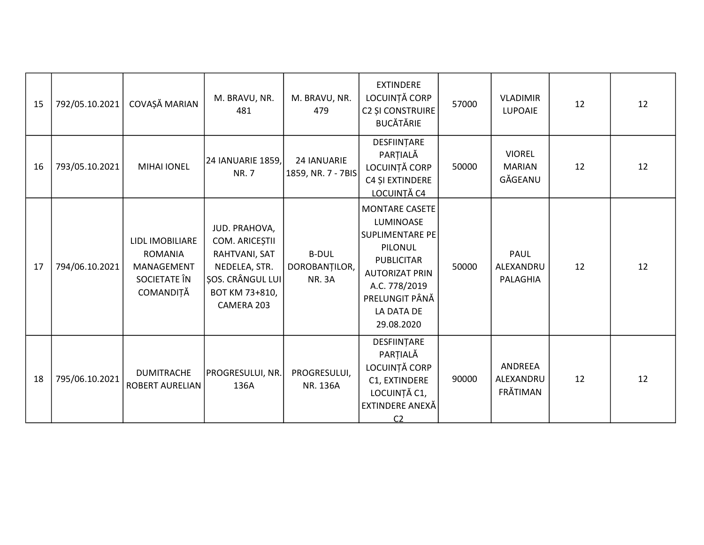| 15 | 792/05.10.2021 | COVAȘĂ MARIAN                                                                | M. BRAVU, NR.<br>481                                                                                                         | M. BRAVU, NR.<br>479                           | <b>EXTINDERE</b><br>LOCUINȚĂ CORP<br><b>C2 ȘI CONSTRUIRE</b><br><b>BUCĂTĂRIE</b>                                                                                       | 57000 | <b>VLADIMIR</b><br>LUPOAIE                | 12 | 12 |
|----|----------------|------------------------------------------------------------------------------|------------------------------------------------------------------------------------------------------------------------------|------------------------------------------------|------------------------------------------------------------------------------------------------------------------------------------------------------------------------|-------|-------------------------------------------|----|----|
| 16 | 793/05.10.2021 | <b>MIHAI IONEL</b>                                                           | 24 IANUARIE 1859,<br><b>NR.7</b>                                                                                             | 24 IANUARIE<br>1859, NR. 7 - 7BIS              | DESFIINȚARE<br>PARȚIALĂ<br>LOCUINȚĂ CORP<br>C4 ȘI EXTINDERE<br>LOCUINȚĂ C4                                                                                             | 50000 | <b>VIOREL</b><br><b>MARIAN</b><br>GĂGEANU | 12 | 12 |
| 17 | 794/06.10.2021 | LIDL IMOBILIARE<br><b>ROMANIA</b><br>MANAGEMENT<br>SOCIETATE ÎN<br>COMANDIȚĂ | JUD. PRAHOVA,<br>COM. ARICEȘTII<br>RAHTVANI, SAT<br>NEDELEA, STR.<br><b>ŞOS. CRÂNGUL LUI</b><br>BOT KM 73+810,<br>CAMERA 203 | <b>B-DUL</b><br>DOROBANȚILOR,<br><b>NR. 3A</b> | MONTARE CASETE<br>LUMINOASE<br>SUPLIMENTARE PE<br>PILONUL<br><b>PUBLICITAR</b><br><b>AUTORIZAT PRIN</b><br>A.C. 778/2019<br>PRELUNGIT PÂNĂ<br>LA DATA DE<br>29.08.2020 | 50000 | <b>PAUL</b><br>ALEXANDRU<br>PALAGHIA      | 12 | 12 |
| 18 | 795/06.10.2021 | <b>DUMITRACHE</b><br><b>ROBERT AURELIAN</b>                                  | PROGRESULUI, NR.<br>136A                                                                                                     | PROGRESULUI,<br>NR. 136A                       | DESFIINȚARE<br>PARȚIALĂ<br>LOCUINȚĂ CORP<br>C1, EXTINDERE<br>LOCUINȚĂ C1,<br>EXTINDERE ANEXĂ<br>C <sub>2</sub>                                                         | 90000 | ANDREEA<br>ALEXANDRU<br>FRĂTIMAN          | 12 | 12 |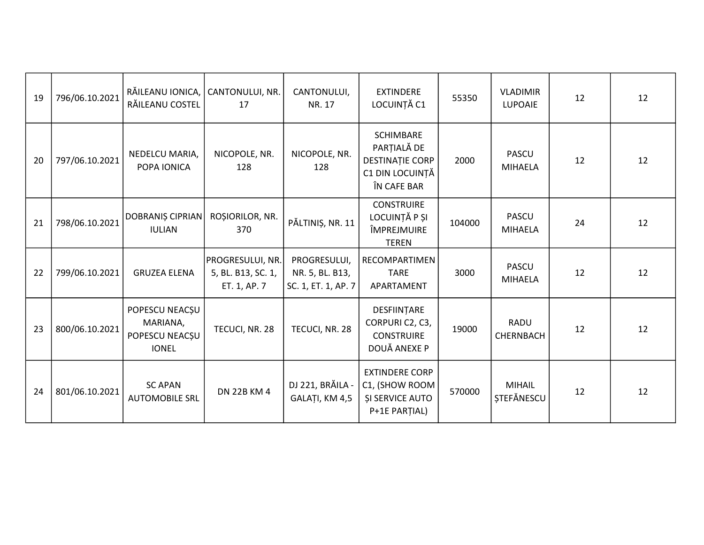| 19 | 796/06.10.2021 | RĂILEANU IONICA,<br>RĂILEANU COSTEL                          | CANTONULUI, NR.<br>17                                  | CANTONULUI,<br>NR. 17                                  | <b>EXTINDERE</b><br>LOCUINȚĂ C1                                                             | 55350  | <b>VLADIMIR</b><br><b>LUPOAIE</b>  | 12 | 12 |
|----|----------------|--------------------------------------------------------------|--------------------------------------------------------|--------------------------------------------------------|---------------------------------------------------------------------------------------------|--------|------------------------------------|----|----|
| 20 | 797/06.10.2021 | NEDELCU MARIA,<br>POPA IONICA                                | NICOPOLE, NR.<br>128                                   | NICOPOLE, NR.<br>128                                   | <b>SCHIMBARE</b><br>PARȚIALĂ DE<br><b>DESTINAȚIE CORP</b><br>C1 DIN LOCUINȚĂ<br>ÎN CAFE BAR | 2000   | <b>PASCU</b><br><b>MIHAELA</b>     | 12 | 12 |
| 21 | 798/06.10.2021 | <b>DOBRANIS CIPRIAN</b><br><b>IULIAN</b>                     | ROȘIORILOR, NR.<br>370                                 | PĂLTINIȘ, NR. 11                                       | <b>CONSTRUIRE</b><br>LOCUINȚĂ P ȘI<br>ÎMPREJMUIRE<br><b>TEREN</b>                           | 104000 | <b>PASCU</b><br><b>MIHAELA</b>     | 24 | 12 |
| 22 | 799/06.10.2021 | <b>GRUZEA ELENA</b>                                          | PROGRESULUI, NR.<br>5, BL. B13, SC. 1,<br>ET. 1, AP. 7 | PROGRESULUI,<br>NR. 5, BL. B13,<br>SC. 1, ET. 1, AP. 7 | RECOMPARTIMEN<br><b>TARE</b><br>APARTAMENT                                                  | 3000   | <b>PASCU</b><br><b>MIHAELA</b>     | 12 | 12 |
| 23 | 800/06.10.2021 | POPESCU NEACȘU<br>MARIANA,<br>POPESCU NEACȘU<br><b>IONEL</b> | TECUCI, NR. 28                                         | TECUCI, NR. 28                                         | DESFIINȚARE<br>CORPURIC2, C3,<br><b>CONSTRUIRE</b><br>DOUĂ ANEXE P                          | 19000  | <b>RADU</b><br>CHERNBACH           | 12 | 12 |
| 24 | 801/06.10.2021 | <b>SC APAN</b><br><b>AUTOMOBILE SRL</b>                      | <b>DN 22B KM 4</b>                                     | DJ 221, BRĂILA -<br>GALAȚI, KM 4,5                     | <b>EXTINDERE CORP</b><br>C1, (SHOW ROOM<br><b>ȘI SERVICE AUTO</b><br>P+1E PARTIAL)          | 570000 | <b>MIHAIL</b><br><b>STEFÄNESCU</b> | 12 | 12 |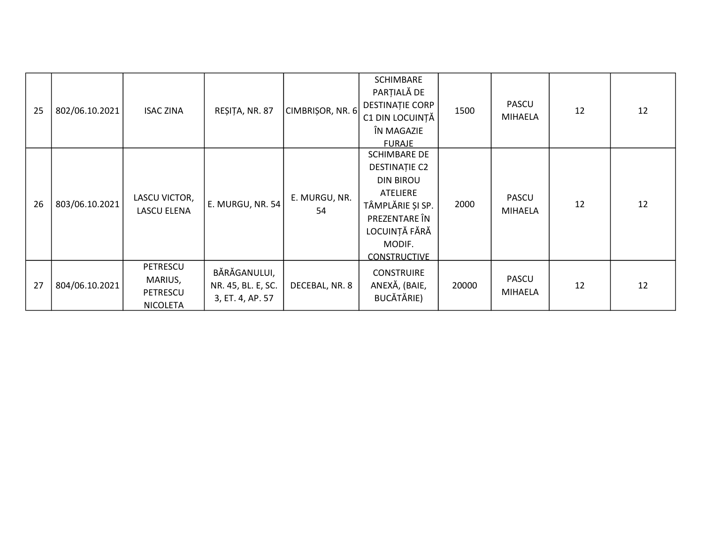| 25 | 802/06.10.2021 | <b>ISAC ZINA</b>                                   | REȘIȚA, NR. 87                                         | CIMBRISOR, NR. 6    | <b>SCHIMBARE</b><br>PARȚIALĂ DE<br><b>DESTINAȚIE CORP</b><br>C1 DIN LOCUINȚĂ<br>ÎN MAGAZIE<br><b>FURAJE</b>                                                 | 1500  | <b>PASCU</b><br><b>MIHAELA</b> | 12 | 12 |
|----|----------------|----------------------------------------------------|--------------------------------------------------------|---------------------|-------------------------------------------------------------------------------------------------------------------------------------------------------------|-------|--------------------------------|----|----|
| 26 | 803/06.10.2021 | LASCU VICTOR,<br>LASCU ELENA                       | E. MURGU, NR. 54                                       | E. MURGU, NR.<br>54 | <b>SCHIMBARE DE</b><br>DESTINAȚIE C2<br><b>DIN BIROU</b><br>ATELIERE<br>TÂMPLĂRIE ȘI SP.<br>PREZENTARE ÎN<br>LOCUINȚĂ FĂRĂ<br>MODIF.<br><b>CONSTRUCTIVE</b> | 2000  | PASCU<br><b>MIHAELA</b>        | 12 | 12 |
| 27 | 804/06.10.2021 | PETRESCU<br>MARIUS,<br>PETRESCU<br><b>NICOLETA</b> | BĂRĂGANULUI,<br>NR. 45, BL. E, SC.<br>3, ET. 4, AP. 57 | DECEBAL, NR. 8      | <b>CONSTRUIRE</b><br>ANEXĂ, (BAIE,<br>BUCĂTĂRIE)                                                                                                            | 20000 | <b>PASCU</b><br><b>MIHAELA</b> | 12 | 12 |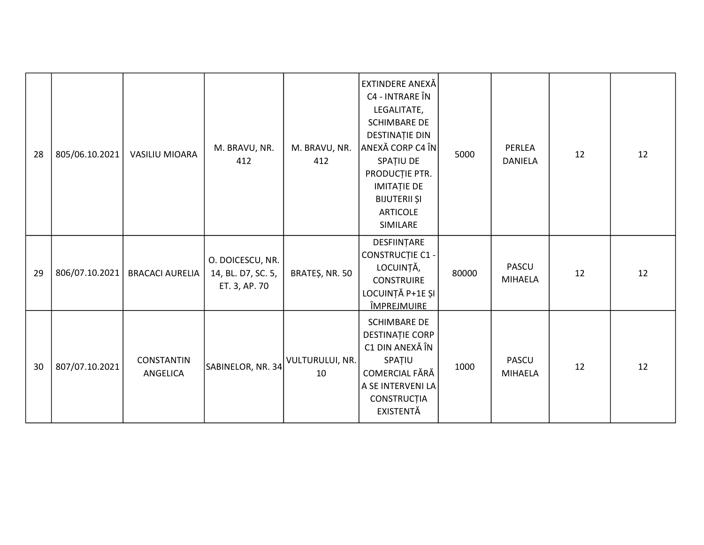| 28 | 805/06.10.2021 | VASILIU MIOARA                | M. BRAVU, NR.<br>412                                    | M. BRAVU, NR.<br>412  | EXTINDERE ANEXĂ<br>C4 - INTRARE ÎN<br>LEGALITATE,<br><b>SCHIMBARE DE</b><br>DESTINAȚIE DIN<br>ANEXĂ CORP C4 ÎN<br>SPATIU DE<br>PRODUCȚIE PTR.<br><b>IMITAȚIE DE</b><br><b>BIJUTERII ȘI</b><br><b>ARTICOLE</b><br>SIMILARE | 5000  | PERLEA<br><b>DANIELA</b>       | 12 | 12 |
|----|----------------|-------------------------------|---------------------------------------------------------|-----------------------|---------------------------------------------------------------------------------------------------------------------------------------------------------------------------------------------------------------------------|-------|--------------------------------|----|----|
| 29 | 806/07.10.2021 | <b>BRACACI AURELIA</b>        | O. DOICESCU, NR.<br>14, BL. D7, SC. 5,<br>ET. 3, AP. 70 | BRATEȘ, NR. 50        | DESFIINȚARE<br><b>CONSTRUCȚIE C1 -</b><br>LOCUINȚĂ,<br><b>CONSTRUIRE</b><br>LOCUINȚĂ P+1E ȘI<br><u>ÎMPREJMUIRE</u>                                                                                                        | 80000 | <b>PASCU</b><br><b>MIHAELA</b> | 12 | 12 |
| 30 | 807/07.10.2021 | <b>CONSTANTIN</b><br>ANGELICA | SABINELOR, NR. 34                                       | VULTURULUI, NR.<br>10 | <b>SCHIMBARE DE</b><br>DESTINAȚIE CORP<br>C1 DIN ANEXĂ ÎN<br>SPAȚIU<br>COMERCIAL FĂRĂ<br>A SE INTERVENI LA<br>CONSTRUCȚIA<br><b>EXISTENTĂ</b>                                                                             | 1000  | <b>PASCU</b><br><b>MIHAELA</b> | 12 | 12 |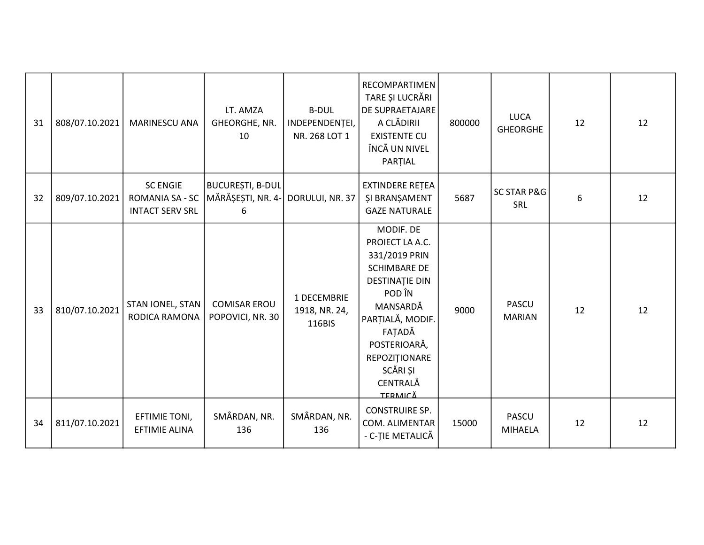| 31 | 808/07.10.2021 | <b>MARINESCU ANA</b>                                         | LT. AMZA<br>GHEORGHE, NR.<br>10                   | <b>B-DUL</b><br>INDEPENDENTEI,<br>NR. 268 LOT 1 | RECOMPARTIMEN<br>TARE ȘI LUCRĂRI<br>DE SUPRAETAJARE<br>A CLĂDIRII<br><b>EXISTENTE CU</b><br>ÎNCĂ UN NIVEL<br>PARTIAL                                                                                                  | 800000 | <b>LUCA</b><br><b>GHEORGHE</b> | 12 | 12 |
|----|----------------|--------------------------------------------------------------|---------------------------------------------------|-------------------------------------------------|-----------------------------------------------------------------------------------------------------------------------------------------------------------------------------------------------------------------------|--------|--------------------------------|----|----|
| 32 | 809/07.10.2021 | <b>SC ENGIE</b><br>ROMANIA SA - SC<br><b>INTACT SERV SRL</b> | <b>BUCUREȘTI, B-DUL</b><br>MĂRĂȘEȘTI, NR. 4-<br>6 | DORULUI, NR. 37                                 | EXTINDERE RETEA<br><b>ŞI BRANŞAMENT</b><br><b>GAZE NATURALE</b>                                                                                                                                                       | 5687   | <b>SC STAR P&amp;G</b><br>SRL  | 6  | 12 |
| 33 | 810/07.10.2021 | STAN IONEL, STAN<br><b>RODICA RAMONA</b>                     | <b>COMISAR EROU</b><br>POPOVICI, NR. 30           | 1 DECEMBRIE<br>1918, NR. 24,<br>116BIS          | MODIF. DE<br>PROIECT LA A.C.<br>331/2019 PRIN<br><b>SCHIMBARE DE</b><br>DESTINAȚIE DIN<br>POD ÎN<br>MANSARDĂ<br>PARȚIALĂ, MODIF.<br>FAȚADĂ<br>POSTERIOARĂ,<br>REPOZIȚIONARE<br>SCĂRI ȘI<br>CENTRALĂ<br><b>TERMICĂ</b> | 9000   | <b>PASCU</b><br><b>MARIAN</b>  | 12 | 12 |
| 34 | 811/07.10.2021 | EFTIMIE TONI,<br><b>EFTIMIE ALINA</b>                        | SMÂRDAN, NR.<br>136                               | SMÂRDAN, NR.<br>136                             | <b>CONSTRUIRE SP.</b><br>COM. ALIMENTAR<br>- C-ȚIE METALICĂ                                                                                                                                                           | 15000  | <b>PASCU</b><br><b>MIHAELA</b> | 12 | 12 |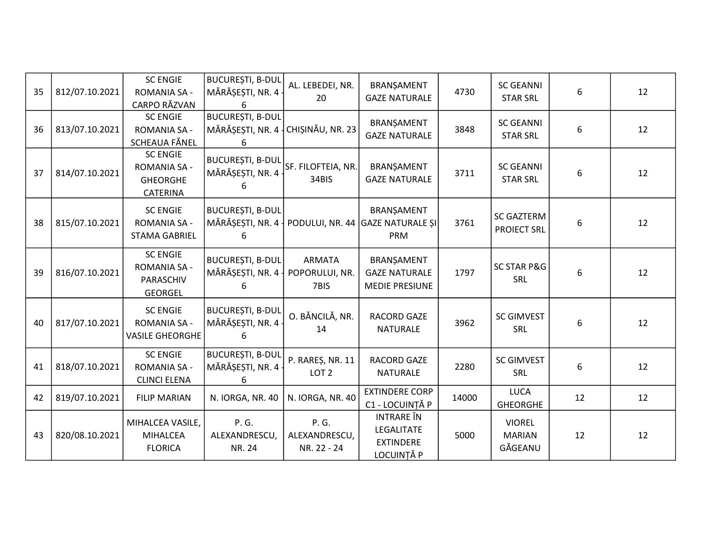| 35 | 812/07.10.2021 | <b>SC ENGIE</b><br><b>ROMANIA SA -</b><br>CARPO RĂZVAN                | <b>BUCUREȘTI, B-DUL</b><br>MĂRĂȘEȘTI, NR. 4<br>6                    | AL. LEBEDEI, NR.<br>20                  | BRANŞAMENT<br><b>GAZE NATURALE</b>                                | 4730  | <b>SC GEANNI</b><br><b>STAR SRL</b>       | 6  | 12 |
|----|----------------|-----------------------------------------------------------------------|---------------------------------------------------------------------|-----------------------------------------|-------------------------------------------------------------------|-------|-------------------------------------------|----|----|
| 36 | 813/07.10.2021 | <b>SC ENGIE</b><br><b>ROMANIA SA -</b><br>SCHEAUA FĂNEL               | <b>BUCUREȘTI, B-DUL</b><br>MĂRĂȘEȘTI, NR. 4   CHIȘINĂU, NR. 23<br>6 |                                         | BRANŞAMENT<br><b>GAZE NATURALE</b>                                | 3848  | <b>SC GEANNI</b><br><b>STAR SRL</b>       | 6  | 12 |
| 37 | 814/07.10.2021 | <b>SC ENGIE</b><br>ROMANIA SA -<br><b>GHEORGHE</b><br>CATERINA        | <b>BUCUREȘTI, B-DUL</b><br>MĂRĂȘEȘTI, NR. 4<br>6                    | SF. FILOFTEIA, NR.<br>34BIS             | BRANŞAMENT<br><b>GAZE NATURALE</b>                                | 3711  | <b>SC GEANNI</b><br><b>STAR SRL</b>       | 6  | 12 |
| 38 | 815/07.10.2021 | <b>SC ENGIE</b><br><b>ROMANIA SA -</b><br><b>STAMA GABRIEL</b>        | <b>BUCURESTI, B-DUL</b><br>MĂRĂȘEȘTI, NR. 4 $\overline{ }$<br>6     |                                         | BRANŞAMENT<br>PODULUI, NR. 44 GAZE NATURALE ȘI<br>PRM             | 3761  | <b>SC GAZTERM</b><br><b>PROIECT SRL</b>   | 6  | 12 |
| 39 | 816/07.10.2021 | <b>SC ENGIE</b><br><b>ROMANIA SA -</b><br>PARASCHIV<br><b>GEORGEL</b> | <b>BUCUREȘTI, B-DUL</b><br>MĂRĂȘEȘTI, NR. 4                         | <b>ARMATA</b><br>POPORULUI, NR.<br>7BIS | BRANŞAMENT<br><b>GAZE NATURALE</b><br><b>MEDIE PRESIUNE</b>       | 1797  | <b>SC STAR P&amp;G</b><br>SRL             | 6  | 12 |
| 40 | 817/07.10.2021 | <b>SC ENGIE</b><br><b>ROMANIA SA -</b><br><b>VASILE GHEORGHE</b>      | <b>BUCUREȘTI, B-DUL</b><br>MĂRĂȘEȘTI, NR. 4<br>6                    | O. BĂNCILĂ, NR.<br>14                   | RACORD GAZE<br><b>NATURALE</b>                                    | 3962  | <b>SC GIMVEST</b><br>SRL                  | 6  | 12 |
| 41 | 818/07.10.2021 | <b>SC ENGIE</b><br><b>ROMANIA SA -</b><br><b>CLINCI ELENA</b>         | <b>BUCUREȘTI, B-DUL</b><br>MĂRĂȘEȘTI, NR. 4<br>6                    | P. RAREȘ, NR. 11<br>LOT <sub>2</sub>    | <b>RACORD GAZE</b><br><b>NATURALE</b>                             | 2280  | <b>SC GIMVEST</b><br><b>SRL</b>           | 6  | 12 |
| 42 | 819/07.10.2021 | <b>FILIP MARIAN</b>                                                   | N. IORGA, NR. 40                                                    | N. IORGA, NR. 40                        | <b>EXTINDERE CORP</b><br>C1 - LOCUINȚĂ P                          | 14000 | <b>LUCA</b><br><b>GHEORGHE</b>            | 12 | 12 |
| 43 | 820/08.10.2021 | MIHALCEA VASILE,<br><b>MIHALCEA</b><br><b>FLORICA</b>                 | P. G.<br>ALEXANDRESCU,<br>NR. 24                                    | P. G.<br>ALEXANDRESCU,<br>NR. 22 - 24   | <b>INTRARE</b> ÎN<br>LEGALITATE<br><b>EXTINDERE</b><br>LOCUINȚĂ P | 5000  | <b>VIOREL</b><br><b>MARIAN</b><br>GĂGEANU | 12 | 12 |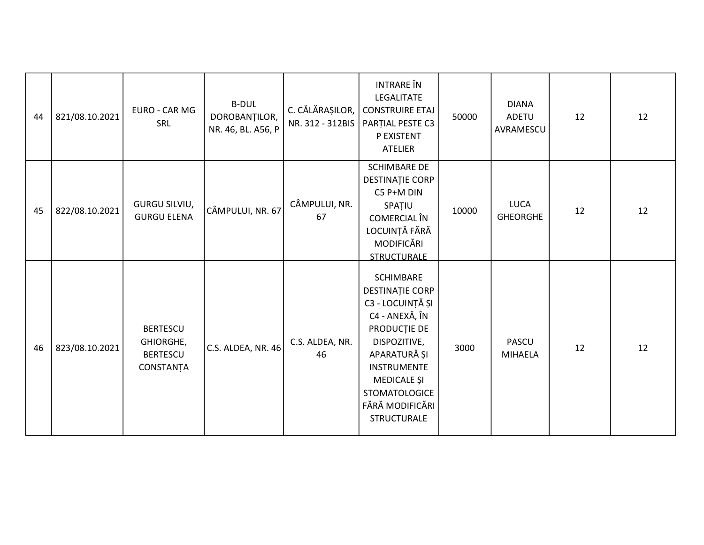| 44 | 821/08.10.2021 | EURO - CAR MG<br>SRL                                         | <b>B-DUL</b><br>DOROBANȚILOR,<br>NR. 46, BL. A56, P | C. CĂLĂRAȘILOR,<br>NR. 312 - 312BIS | <b>INTRARE</b> ÎN<br><b>LEGALITATE</b><br><b>CONSTRUIRE ETAJ</b><br>PARȚIAL PESTE C3<br>P EXISTENT<br><b>ATELIER</b>                                                                                                            | 50000 | <b>DIANA</b><br><b>ADETU</b><br>AVRAMESCU | 12 | 12 |
|----|----------------|--------------------------------------------------------------|-----------------------------------------------------|-------------------------------------|---------------------------------------------------------------------------------------------------------------------------------------------------------------------------------------------------------------------------------|-------|-------------------------------------------|----|----|
| 45 | 822/08.10.2021 | <b>GURGU SILVIU,</b><br><b>GURGU ELENA</b>                   | CÂMPULUI, NR. 67                                    | CÂMPULUI, NR.<br>67                 | <b>SCHIMBARE DE</b><br><b>DESTINAȚIE CORP</b><br>C5 P+M DIN<br>SPATIU<br>COMERCIAL ÎN<br>LOCUINȚĂ FĂRĂ<br>MODIFICĂRI<br><b>STRUCTURALE</b>                                                                                      | 10000 | <b>LUCA</b><br>GHEORGHE                   | 12 | 12 |
| 46 | 823/08.10.2021 | <b>BERTESCU</b><br>GHIORGHE,<br><b>BERTESCU</b><br>CONSTANȚA | C.S. ALDEA, NR. 46                                  | C.S. ALDEA, NR.<br>46               | <b>SCHIMBARE</b><br><b>DESTINAȚIE CORP</b><br>C3 - LOCUINȚĂ ȘI<br>C4 - ANEXĂ, ÎN<br>PRODUCȚIE DE<br>DISPOZITIVE,<br>APARATURĂ ȘI<br><b>INSTRUMENTE</b><br>MEDICALE ȘI<br>STOMATOLOGICE<br>FĂRĂ MODIFICĂRI<br><b>STRUCTURALE</b> | 3000  | <b>PASCU</b><br><b>MIHAELA</b>            | 12 | 12 |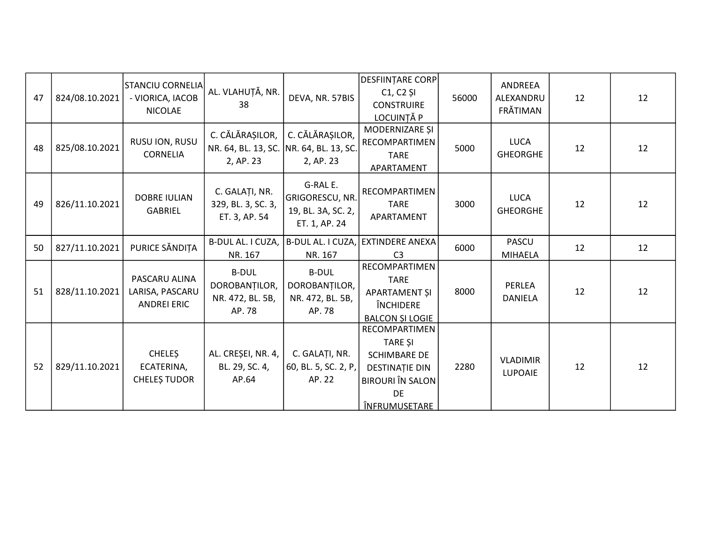| 47 | 824/08.10.2021 | STANCIU CORNELIA<br>- VIORICA, IACOB<br><b>NICOLAE</b> | AL. VLAHUȚĂ, NR.<br>38                                                  | DEVA, NR. 57BIS                                                    | <b>DESFIINTARE CORP</b><br>$C1, C2$ SI<br><b>CONSTRUIRE</b><br>LOCUINȚĂ P                                                                       | 56000 | ANDREEA<br>ALEXANDRU<br>FRĂTIMAN | 12 | 12 |
|----|----------------|--------------------------------------------------------|-------------------------------------------------------------------------|--------------------------------------------------------------------|-------------------------------------------------------------------------------------------------------------------------------------------------|-------|----------------------------------|----|----|
| 48 | 825/08.10.2021 | RUSU ION, RUSU<br><b>CORNELIA</b>                      | C. CĂLĂRAȘILOR,<br>NR. 64, BL. 13, SC. NR. 64, BL. 13, SC.<br>2, AP. 23 | C. CĂLĂRAȘILOR,<br>2, AP. 23                                       | MODERNIZARE ȘI<br>RECOMPARTIMEN<br><b>TARE</b><br>APARTAMENT                                                                                    | 5000  | <b>LUCA</b><br><b>GHEORGHE</b>   | 12 | 12 |
| 49 | 826/11.10.2021 | <b>DOBRE IULIAN</b><br><b>GABRIEL</b>                  | C. GALAȚI, NR.<br>329, BL. 3, SC. 3,<br>ET. 3, AP. 54                   | G-RAL E.<br>GRIGORESCU, NR.<br>19, BL. 3A, SC. 2,<br>ET. 1, AP. 24 | RECOMPARTIMEN<br><b>TARE</b><br>APARTAMENT                                                                                                      | 3000  | <b>LUCA</b><br><b>GHEORGHE</b>   | 12 | 12 |
| 50 | 827/11.10.2021 | PURICE SĂNDIȚA                                         | B-DUL AL. I CUZA,<br>NR. 167                                            | B-DUL AL. I CUZA,<br>NR. 167                                       | <b>EXTINDERE ANEXA</b><br>C <sub>3</sub>                                                                                                        | 6000  | <b>PASCU</b><br><b>MIHAELA</b>   | 12 | 12 |
| 51 | 828/11.10.2021 | PASCARU ALINA<br>LARISA, PASCARU<br><b>ANDREI ERIC</b> | <b>B-DUL</b><br>DOROBANȚILOR,<br>NR. 472, BL. 5B,<br>AP. 78             | <b>B-DUL</b><br>DOROBANȚILOR,<br>NR. 472, BL. 5B,<br>AP. 78        | RECOMPARTIMEN<br><b>TARE</b><br>APARTAMENT ȘI<br>ÎNCHIDERE<br><b>BALCON ȘI LOGIE</b>                                                            | 8000  | PERLEA<br><b>DANIELA</b>         | 12 | 12 |
| 52 | 829/11.10.2021 | <b>CHELES</b><br>ECATERINA,<br><b>CHELES TUDOR</b>     | AL. CREȘEI, NR. 4,<br>BL. 29, SC. 4,<br>AP.64                           | C. GALAȚI, NR.<br>60, BL. 5, SC. 2, P,<br>AP. 22                   | RECOMPARTIMEN<br><b>TARE SI</b><br><b>SCHIMBARE DE</b><br><b>DESTINAȚIE DIN</b><br><b>BIROURI</b> ÎN SALON<br><b>DE</b><br><u>ÎNFRUMUSETARE</u> | 2280  | <b>VLADIMIR</b><br>LUPOAIE       | 12 | 12 |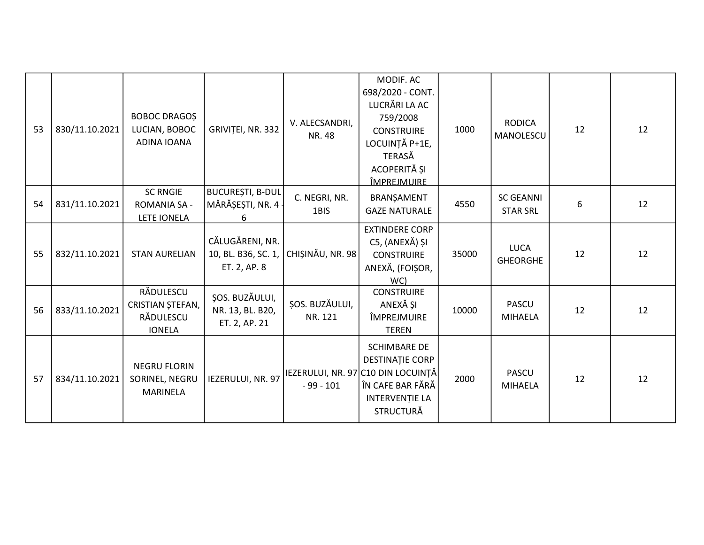| 53 | 830/11.10.2021 | <b>BOBOC DRAGOS</b><br>LUCIAN, BOBOC<br>ADINA IOANA         | GRIVIȚEI, NR. 332                                      | V. ALECSANDRI,<br>NR. 48  | MODIF. AC<br>698/2020 - CONT.<br>LUCRĂRI LA AC<br>759/2008<br><b>CONSTRUIRE</b><br>LOCUINȚĂ P+1E,<br><b>TERASĂ</b><br>ACOPERITĂ ȘI<br><u>ÎMPREJMUIRE</u> | 1000  | <b>RODICA</b><br>MANOLESCU          | 12 | 12 |
|----|----------------|-------------------------------------------------------------|--------------------------------------------------------|---------------------------|----------------------------------------------------------------------------------------------------------------------------------------------------------|-------|-------------------------------------|----|----|
| 54 | 831/11.10.2021 | <b>SC RNGIE</b><br><b>ROMANIA SA -</b><br>LETE IONELA       | <b>BUCUREȘTI, B-DUL</b><br>MĂRĂȘEȘTI, NR. 4 -<br>6     | C. NEGRI, NR.<br>1BIS     | BRANŞAMENT<br><b>GAZE NATURALE</b>                                                                                                                       | 4550  | <b>SC GEANNI</b><br><b>STAR SRL</b> | 6  | 12 |
| 55 | 832/11.10.2021 | <b>STAN AURELIAN</b>                                        | CĂLUGĂRENI, NR.<br>10, BL. B36, SC. 1,<br>ET. 2, AP. 8 | CHIȘINĂU, NR. 98          | <b>EXTINDERE CORP</b><br>C5, (ANEXĂ) ȘI<br><b>CONSTRUIRE</b><br>ANEXĂ, (FOIȘOR,<br>WC)                                                                   | 35000 | <b>LUCA</b><br><b>GHEORGHE</b>      | 12 | 12 |
| 56 | 833/11.10.2021 | RĂDULESCU<br>CRISTIAN ȘTEFAN,<br>RĂDULESCU<br><b>IONELA</b> | ȘOS. BUZĂULUI,<br>NR. 13, BL. B20,<br>ET. 2, AP. 21    | ȘOS. BUZĂULUI,<br>NR. 121 | <b>CONSTRUIRE</b><br>ANEXĂ ȘI<br>ÎMPREJMUIRE<br><b>TEREN</b>                                                                                             | 10000 | <b>PASCU</b><br><b>MIHAELA</b>      | 12 | 12 |
| 57 | 834/11.10.2021 | <b>NEGRU FLORIN</b><br>SORINEL, NEGRU<br><b>MARINELA</b>    | IEZERULUI, NR. 97                                      | $-99 - 101$               | <b>SCHIMBARE DE</b><br><b>DESTINAȚIE CORP</b><br>IEZERULUI, NR. 97 C10 DIN LOCUINȚĂ<br>ÎN CAFE BAR FĂRĂ<br><b>INTERVENȚIE LA</b><br><b>STRUCTURĂ</b>     | 2000  | <b>PASCU</b><br><b>MIHAELA</b>      | 12 | 12 |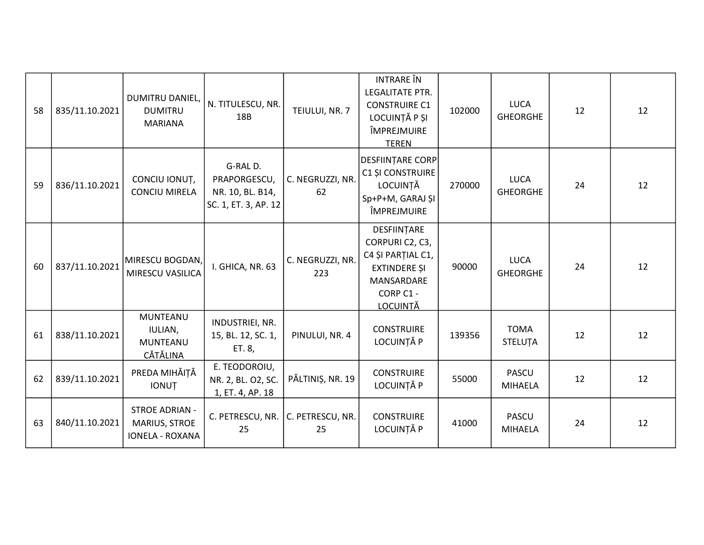| 58 | 835/11.10.2021 | DUMITRU DANIEL,<br><b>DUMITRU</b><br><b>MARIANA</b>              | N. TITULESCU, NR.<br>18B                                            | TEIULUI, NR. 7          | <b>INTRARE</b> ÎN<br>LEGALITATE PTR.<br><b>CONSTRUIRE C1</b><br>LOCUINȚĂ P ȘI<br>ÎMPREJMUIRE<br><b>TEREN</b>            | 102000 | <b>LUCA</b><br><b>GHEORGHE</b> | 12 | 12 |
|----|----------------|------------------------------------------------------------------|---------------------------------------------------------------------|-------------------------|-------------------------------------------------------------------------------------------------------------------------|--------|--------------------------------|----|----|
| 59 | 836/11.10.2021 | CONCIU IONUȚ,<br><b>CONCIU MIRELA</b>                            | G-RALD.<br>PRAPORGESCU,<br>NR. 10, BL. B14,<br>SC. 1, ET. 3, AP. 12 | C. NEGRUZZI, NR.<br>62  | DESFIINȚARE CORP <br>C1 ȘI CONSTRUIRE<br>LOCUINTĂ<br>Sp+P+M, GARAJ ȘI<br>ÎMPREJMUIRE                                    | 270000 | <b>LUCA</b><br><b>GHEORGHE</b> | 24 | 12 |
| 60 | 837/11.10.2021 | MIRESCU BOGDAN,<br>MIRESCU VASILICA                              | I. GHICA, NR. 63                                                    | C. NEGRUZZI, NR.<br>223 | DESFIINȚARE<br>CORPURIC2, C3,<br>C4 ȘI PARȚIAL C1,<br><b>EXTINDERE SI</b><br>MANSARDARE<br>CORP C1 -<br><b>LOCUINTĂ</b> | 90000  | <b>LUCA</b><br><b>GHEORGHE</b> | 24 | 12 |
| 61 | 838/11.10.2021 | <b>MUNTEANU</b><br>IULIAN,<br>MUNTEANU<br>CĂTĂLINA               | INDUSTRIEI, NR.<br>15, BL. 12, SC. 1,<br>ET. 8,                     | PINULUI, NR. 4          | <b>CONSTRUIRE</b><br>LOCUINȚĂ P                                                                                         | 139356 | <b>TOMA</b><br><b>STELUTA</b>  | 12 | 12 |
| 62 | 839/11.10.2021 | PREDA MIHĂIȚĂ<br><b>IONUT</b>                                    | E. TEODOROIU,<br>NR. 2, BL. O2, SC.<br>1, ET. 4, AP. 18             | PĂLTINIȘ, NR. 19        | <b>CONSTRUIRE</b><br>LOCUINȚĂ P                                                                                         | 55000  | <b>PASCU</b><br><b>MIHAELA</b> | 12 | 12 |
| 63 | 840/11.10.2021 | <b>STROE ADRIAN -</b><br>MARIUS, STROE<br><b>IONELA - ROXANA</b> | C. PETRESCU, NR.<br>25                                              | C. PETRESCU, NR.<br>25  | <b>CONSTRUIRE</b><br>LOCUINȚĂ P                                                                                         | 41000  | <b>PASCU</b><br><b>MIHAELA</b> | 24 | 12 |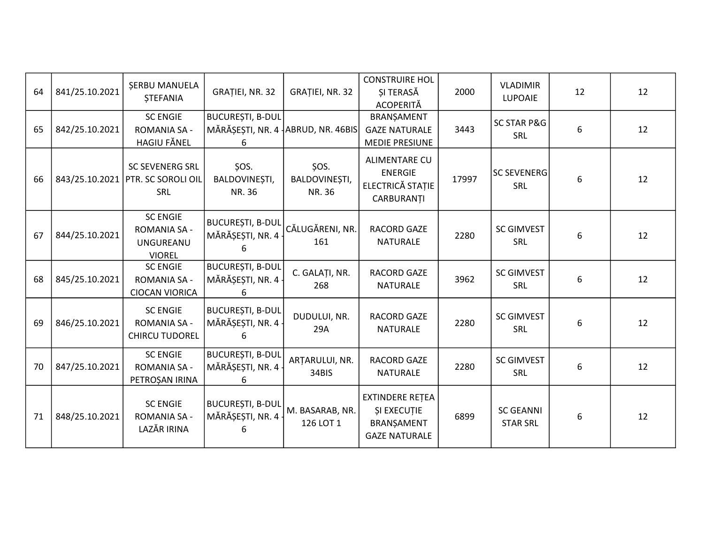| 64 | 841/25.10.2021 | <b>SERBU MANUELA</b><br><b>STEFANIA</b>                              | GRAȚIEI, NR. 32                                                   | GRAȚIEI, NR. 32                 | <b>CONSTRUIRE HOL</b><br>SI TERASĂ<br><b>ACOPERITĂ</b>                             | 2000  | <b>VLADIMIR</b><br><b>LUPOAIE</b>    | 12 | 12 |
|----|----------------|----------------------------------------------------------------------|-------------------------------------------------------------------|---------------------------------|------------------------------------------------------------------------------------|-------|--------------------------------------|----|----|
| 65 | 842/25.10.2021 | <b>SC ENGIE</b><br>ROMANIA SA -<br>HAGIU FĂNEL                       | <b>BUCUREȘTI, B-DUL</b><br>MĂRĂȘEȘTI, NR. 4 ABRUD, NR. 46BIS<br>6 |                                 | BRANŞAMENT<br><b>GAZE NATURALE</b><br><b>MEDIE PRESIUNE</b>                        | 3443  | <b>SC STAR P&amp;G</b><br><b>SRL</b> | 6  | 12 |
| 66 | 843/25.10.2021 | <b>SC SEVENERG SRL</b><br><b>PTR. SC SOROLI OIL</b><br>SRL           | ŞOS.<br>BALDOVINEȘTI,<br><b>NR. 36</b>                            | ŞOS.<br>BALDOVINEȘTI,<br>NR. 36 | <b>ALIMENTARE CU</b><br><b>ENERGIE</b><br>ELECTRICĂ STATIE<br>CARBURANȚI           | 17997 | <b>SC SEVENERG</b><br><b>SRL</b>     | 6  | 12 |
| 67 | 844/25.10.2021 | <b>SC ENGIE</b><br><b>ROMANIA SA -</b><br>UNGUREANU<br><b>VIOREL</b> | <b>BUCUREȘTI, B-DUL</b><br>MĂRĂȘEȘTI, NR. 4<br>6                  | CĂLUGĂRENI, NR.<br>161          | RACORD GAZE<br><b>NATURALE</b>                                                     | 2280  | <b>SC GIMVEST</b><br><b>SRL</b>      | 6  | 12 |
| 68 | 845/25.10.2021 | <b>SC ENGIE</b><br><b>ROMANIA SA -</b><br><b>CIOCAN VIORICA</b>      | <b>BUCUREȘTI, B-DUL</b><br>MĂRĂȘEȘTI, NR. 4<br>6                  | C. GALAȚI, NR.<br>268           | <b>RACORD GAZE</b><br><b>NATURALE</b>                                              | 3962  | <b>SC GIMVEST</b><br>SRL             | 6  | 12 |
| 69 | 846/25.10.2021 | <b>SC ENGIE</b><br><b>ROMANIA SA -</b><br><b>CHIRCU TUDOREL</b>      | <b>BUCUREȘTI, B-DUL</b><br>MĂRĂȘEȘTI, NR. 4 ·<br>6                | DUDULUI, NR.<br>29A             | RACORD GAZE<br><b>NATURALE</b>                                                     | 2280  | <b>SC GIMVEST</b><br>SRL             | 6  | 12 |
| 70 | 847/25.10.2021 | <b>SC ENGIE</b><br><b>ROMANIA SA -</b><br>PETROȘAN IRINA             | <b>BUCUREȘTI, B-DUL</b><br>MĂRĂȘEȘTI, NR. 4<br>6                  | ARȚARULUI, NR.<br>34BIS         | <b>RACORD GAZE</b><br><b>NATURALE</b>                                              | 2280  | <b>SC GIMVEST</b><br><b>SRL</b>      | 6  | 12 |
| 71 | 848/25.10.2021 | <b>SC ENGIE</b><br><b>ROMANIA SA -</b><br>LAZĂR IRINA                | <b>BUCUREȘTI, B-DUL</b><br>MĂRĂȘEȘTI, NR. 4<br>6                  | M. BASARAB, NR.<br>126 LOT 1    | <b>EXTINDERE RETEA</b><br><b>ȘI EXECUȚIE</b><br>BRANŞAMENT<br><b>GAZE NATURALE</b> | 6899  | <b>SC GEANNI</b><br><b>STAR SRL</b>  | 6  | 12 |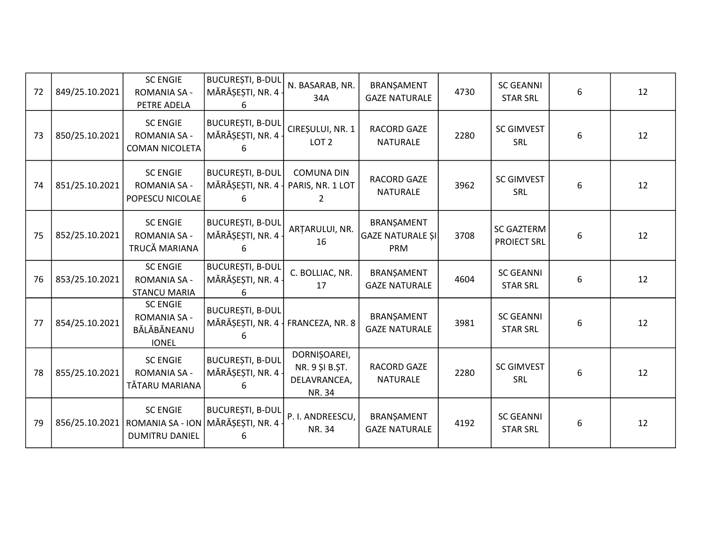| 72 | 849/25.10.2021 | <b>SC ENGIE</b><br><b>ROMANIA SA -</b><br>PETRE ADELA                 | <b>BUCUREȘTI, B-DUL</b><br>MĂRĂȘEȘTI, NR. 4<br>6 | N. BASARAB, NR.<br>34A                                   | BRANŞAMENT<br><b>GAZE NATURALE</b>                  | 4730 | <b>SC GEANNI</b><br><b>STAR SRL</b>     | 6 | 12 |
|----|----------------|-----------------------------------------------------------------------|--------------------------------------------------|----------------------------------------------------------|-----------------------------------------------------|------|-----------------------------------------|---|----|
| 73 | 850/25.10.2021 | <b>SC ENGIE</b><br><b>ROMANIA SA -</b><br><b>COMAN NICOLETA</b>       | <b>BUCUREȘTI, B-DUL</b><br>MĂRĂȘEȘTI, NR. 4      | CIREȘULUI, NR. 1<br>LOT <sub>2</sub>                     | <b>RACORD GAZE</b><br>NATURALE                      | 2280 | <b>SC GIMVEST</b><br>SRL                | 6 | 12 |
| 74 | 851/25.10.2021 | <b>SC ENGIE</b><br><b>ROMANIA SA -</b><br>POPESCU NICOLAE             | <b>BUCUREȘTI, B-DUL</b><br>MĂRĂȘEȘTI, NR. 4      | <b>COMUNA DIN</b><br>PARIS, NR. 1 LOT                    | <b>RACORD GAZE</b><br>NATURALE                      | 3962 | <b>SC GIMVEST</b><br>SRL                | 6 | 12 |
| 75 | 852/25.10.2021 | <b>SC ENGIE</b><br>ROMANIA SA -<br>TRUCĂ MARIANA                      | <b>BUCUREȘTI, B-DUL</b><br>MĂRĂȘEȘTI, NR. 4<br>h | ARTARULUI, NR.<br>16                                     | BRANŞAMENT<br><b>GAZE NATURALE SI</b><br><b>PRM</b> | 3708 | <b>SC GAZTERM</b><br><b>PROIECT SRL</b> | 6 | 12 |
| 76 | 853/25.10.2021 | <b>SC ENGIE</b><br><b>ROMANIA SA -</b><br><b>STANCU MARIA</b>         | <b>BUCUREȘTI, B-DUL</b><br>MĂRĂȘEȘTI, NR. 4<br>6 | C. BOLLIAC, NR.<br>17                                    | BRANŞAMENT<br><b>GAZE NATURALE</b>                  | 4604 | <b>SC GEANNI</b><br><b>STAR SRL</b>     | 6 | 12 |
| 77 | 854/25.10.2021 | <b>SC ENGIE</b><br><b>ROMANIA SA -</b><br>BĂLĂBĂNEANU<br><b>IONEL</b> | <b>BUCUREȘTI, B-DUL</b><br>MĂRĂȘEȘTI, NR. 4      | FRANCEZA, NR. 8                                          | BRANŞAMENT<br><b>GAZE NATURALE</b>                  | 3981 | <b>SC GEANNI</b><br><b>STAR SRL</b>     | 6 | 12 |
| 78 | 855/25.10.2021 | <b>SC ENGIE</b><br><b>ROMANIA SA -</b><br>TĂTARU MARIANA              | <b>BUCUREȘTI, B-DUL</b><br>MĂRĂȘEȘTI, NR. 4<br>6 | DORNIȘOAREI,<br>NR. 9 ȘI B.ȘT.<br>DELAVRANCEA,<br>NR. 34 | RACORD GAZE<br><b>NATURALE</b>                      | 2280 | <b>SC GIMVEST</b><br><b>SRL</b>         | 6 | 12 |
| 79 | 856/25.10.2021 | <b>SC ENGIE</b><br>ROMANIA SA - ION<br><b>DUMITRU DANIEL</b>          | <b>BUCUREȘTI, B-DUL</b><br>MĂRĂȘEȘTI, NR. 4<br>6 | P. I. ANDREESCU,<br>NR. 34                               | BRANŞAMENT<br><b>GAZE NATURALE</b>                  | 4192 | <b>SC GEANNI</b><br><b>STAR SRL</b>     | 6 | 12 |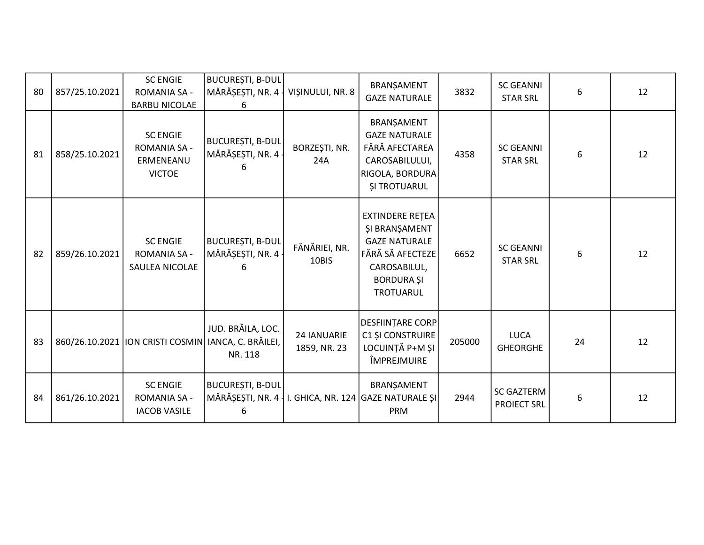| 80 | 857/25.10.2021 | <b>SC ENGIE</b><br><b>ROMANIA SA -</b><br><b>BARBU NICOLAE</b>       | BUCUREȘTI, B-DUL<br>MĂRĂȘEȘTI, NR. 4 -<br>6 | VISINULUI, NR. 8            | BRANȘAMENT<br><b>GAZE NATURALE</b>                                                                                                    | 3832   | <b>SC GEANNI</b><br><b>STAR SRL</b>     | 6  | 12 |
|----|----------------|----------------------------------------------------------------------|---------------------------------------------|-----------------------------|---------------------------------------------------------------------------------------------------------------------------------------|--------|-----------------------------------------|----|----|
| 81 | 858/25.10.2021 | <b>SC ENGIE</b><br><b>ROMANIA SA -</b><br>ERMENEANU<br><b>VICTOE</b> | BUCUREȘTI, B-DUL<br>MĂRĂȘEȘTI, NR. 4 -<br>6 | BORZEȘTI, NR.<br>24A        | BRANŞAMENT<br><b>GAZE NATURALE</b><br>FĂRĂ AFECTAREA<br>CAROSABILULUI,<br>RIGOLA, BORDURA<br><b>ȘI TROTUARUL</b>                      | 4358   | <b>SC GEANNI</b><br><b>STAR SRL</b>     | 6  | 12 |
| 82 | 859/26.10.2021 | <b>SC ENGIE</b><br><b>ROMANIA SA -</b><br>SAULEA NICOLAE             | BUCUREȘTI, B-DUL<br>MĂRĂȘEȘTI, NR. 4 -<br>6 | FÂNĂRIEI, NR.<br>10BIS      | <b>EXTINDERE RETEA</b><br>ȘI BRANȘAMENT<br><b>GAZE NATURALE</b><br>FĂRĂ SĂ AFECTEZE<br>CAROSABILUL,<br><b>BORDURA ȘI</b><br>TROTUARUL | 6652   | <b>SC GEANNI</b><br><b>STAR SRL</b>     | 6  | 12 |
| 83 |                | 860/26.10.2021   ION CRISTI COSMIN   IANCA, C. BRĂILEI,              | JUD. BRĂILA, LOC.<br>NR. 118                | 24 IANUARIE<br>1859, NR. 23 | DESFIINȚARE CORP<br>C1 ȘI CONSTRUIRE<br>LOCUINȚĂ P+M ȘI<br>ÎMPREJMUIRE                                                                | 205000 | <b>LUCA</b><br>GHEORGHE                 | 24 | 12 |
| 84 | 861/26.10.2021 | <b>SC ENGIE</b><br><b>ROMANIA SA -</b><br><b>IACOB VASILE</b>        | <b>BUCUREȘTI, B-DUL</b><br>6                |                             | BRANŞAMENT<br>MĂRĂȘEȘTI, NR. 4   I. GHICA, NR. 124 GAZE NATURALE ȘI<br>PRM                                                            | 2944   | <b>SC GAZTERM</b><br><b>PROIECT SRL</b> | 6  | 12 |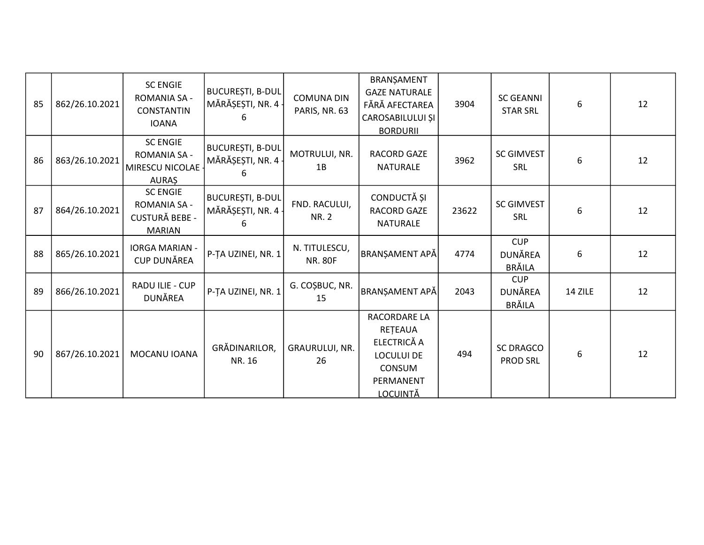| 85 | 862/26.10.2021 | <b>SC ENGIE</b><br><b>ROMANIA SA -</b><br>CONSTANTIN<br><b>IOANA</b>             | BUCUREȘTI, B-DUL<br>MĂRĂȘEȘTI, NR. 4 ·<br>6 | <b>COMUNA DIN</b><br>PARIS, NR. 63 | BRANŞAMENT<br><b>GAZE NATURALE</b><br>FĂRĂ AFECTAREA<br>CAROSABILULUI ȘI<br><b>BORDURII</b>           | 3904  | <b>SC GEANNI</b><br><b>STAR SRL</b>    | 6       | 12 |
|----|----------------|----------------------------------------------------------------------------------|---------------------------------------------|------------------------------------|-------------------------------------------------------------------------------------------------------|-------|----------------------------------------|---------|----|
| 86 | 863/26.10.2021 | <b>SC ENGIE</b><br><b>ROMANIA SA -</b><br>MIRESCU NICOLAE<br><b>AURAS</b>        | <b>BUCUREȘTI, B-DUL</b><br>MĂRĂȘEȘTI, NR. 4 | MOTRULUI, NR.<br>1B                | RACORD GAZE<br><b>NATURALE</b>                                                                        | 3962  | <b>SC GIMVEST</b><br>SRL               | 6       | 12 |
| 87 | 864/26.10.2021 | <b>SC ENGIE</b><br><b>ROMANIA SA -</b><br><b>CUSTURĂ BEBE -</b><br><b>MARIAN</b> | BUCUREȘTI, B-DUL<br>MĂRĂȘEȘTI, NR. 4<br>6   | FND. RACULUI,<br><b>NR. 2</b>      | CONDUCTĂ ȘI<br><b>RACORD GAZE</b><br><b>NATURALE</b>                                                  | 23622 | <b>SC GIMVEST</b><br><b>SRL</b>        | 6       | 12 |
| 88 | 865/26.10.2021 | <b>IORGA MARIAN -</b><br><b>CUP DUNĂREA</b>                                      | P-TA UZINEI, NR. $1$                        | N. TITULESCU,<br><b>NR. 80F</b>    | <b>BRANȘAMENT APĂ</b>                                                                                 | 4774  | <b>CUP</b><br>DUNĂREA<br><b>BRÄILA</b> | 6       | 12 |
| 89 | 866/26.10.2021 | RADU ILIE - CUP<br>DUNĂREA                                                       | P-TA UZINEI, NR. 1                          | G. COŞBUC, NR.<br>15               | BRANŞAMENT APĂ                                                                                        | 2043  | <b>CUP</b><br>DUNĂREA<br><b>BRĂILA</b> | 14 ZILE | 12 |
| 90 | 867/26.10.2021 | MOCANU IOANA                                                                     | GRĂDINARILOR,<br>NR. 16                     | GRAURULUI, NR.<br>26               | RACORDARE LA<br>RETEAUA<br>ELECTRICĂ A<br><b>LOCULUI DE</b><br>CONSUM<br>PERMANENT<br><u>LOCUINTĂ</u> | 494   | <b>SC DRAGCO</b><br><b>PROD SRL</b>    | 6       | 12 |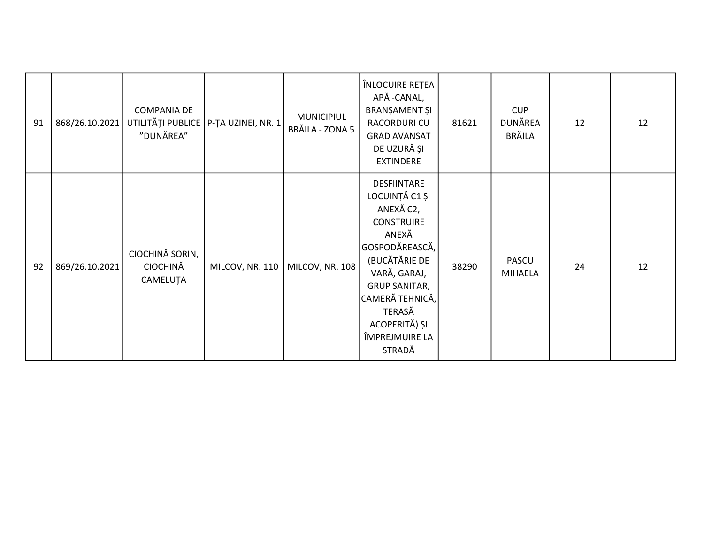| 91 | 868/26.10.2021 | <b>COMPANIA DE</b><br>UTILITĂȚI PUBLICE<br>"DUNĂREA" | P-TA UZINEI, NR. 1 | <b>MUNICIPIUL</b><br>BRĂILA - ZONA 5 | ÎNLOCUIRE REȚEA<br>APĂ - CANAL,<br>BRANȘAMENT ȘI<br>RACORDURI CU<br><b>GRAD AVANSAT</b><br>DE UZURĂ ȘI<br><b>EXTINDERE</b>                                                                                                     | 81621 | <b>CUP</b><br>DUNĂREA<br><b>BRĂILA</b> | 12 | 12 |
|----|----------------|------------------------------------------------------|--------------------|--------------------------------------|--------------------------------------------------------------------------------------------------------------------------------------------------------------------------------------------------------------------------------|-------|----------------------------------------|----|----|
| 92 | 869/26.10.2021 | CIOCHINĂ SORIN,<br><b>CIOCHINĂ</b><br>CAMELUȚA       | MILCOV, NR. 110    | MILCOV, NR. 108                      | DESFIINȚARE<br>LOCUINȚĂ C1 ȘI<br>ANEXĂ C2,<br><b>CONSTRUIRE</b><br>ANEXĂ<br>GOSPODĂREASCĂ,<br>(BUCĂTĂRIE DE<br>VARĂ, GARAJ,<br><b>GRUP SANITAR,</b><br> CAMERĂ TEHNICĂ,<br>TERASĂ<br>ACOPERITĂ) ȘI<br>ÎMPREJMUIRE LA<br>STRADĂ | 38290 | PASCU<br><b>MIHAELA</b>                | 24 | 12 |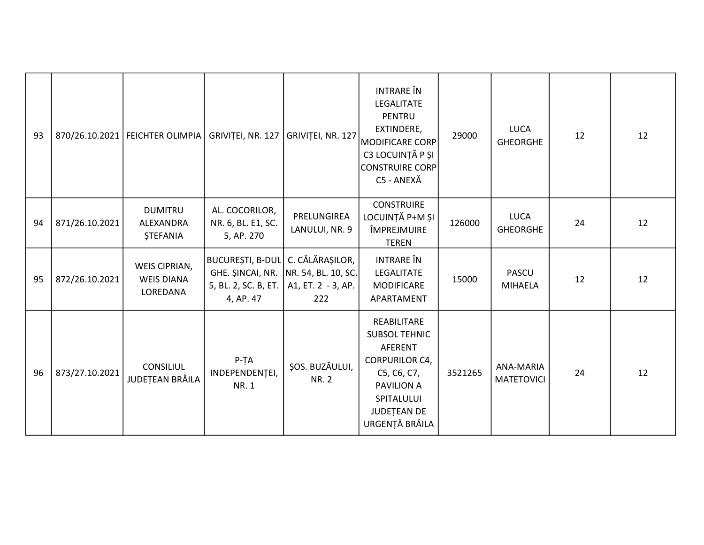| 93 |                | 870/26.10.2021   FEICHTER OLIMPIA              | GRIVITEI, NR. 127                                                     | GRIVITEI, NR. 127                                                     | <b>INTRARE</b> ÎN<br>LEGALITATE<br>PENTRU<br>EXTINDERE,<br><b>MODIFICARE CORP</b><br>C3 LOCUINȚĂ P ȘI<br>CONSTRUIRE CORP<br>C5 - ANEXĂ                     | 29000   | <b>LUCA</b><br><b>GHEORGHE</b> | 12 | 12 |
|----|----------------|------------------------------------------------|-----------------------------------------------------------------------|-----------------------------------------------------------------------|------------------------------------------------------------------------------------------------------------------------------------------------------------|---------|--------------------------------|----|----|
| 94 | 871/26.10.2021 | <b>DUMITRU</b><br>ALEXANDRA<br><b>ȘTEFANIA</b> | AL. COCORILOR,<br>NR. 6, BL. E1, SC.<br>5, AP. 270                    | PRELUNGIREA<br>LANULUI, NR. 9                                         | <b>CONSTRUIRE</b><br>LOCUINȚĂ P+M ȘI<br>ÎMPREJMUIRE<br><b>TEREN</b>                                                                                        | 126000  | <b>LUCA</b><br><b>GHEORGHE</b> | 24 | 12 |
| 95 | 872/26.10.2021 | WEIS CIPRIAN,<br><b>WEIS DIANA</b><br>LOREDANA | BUCUREȘTI, B-DUL C. CĂLĂRAȘILOR,<br>5, BL. 2, SC. B, ET.<br>4, AP. 47 | GHE. ȘINCAI, NR.   NR. 54, BL. 10, SC.<br>$A1, ET. 2 - 3, AP.$<br>222 | INTRARE ÎN<br>LEGALITATE<br><b>MODIFICARE</b><br>APARTAMENT                                                                                                | 15000   | <b>PASCU</b><br><b>MIHAELA</b> | 12 | 12 |
| 96 | 873/27.10.2021 | <b>CONSILIUL</b><br>JUDEȚEAN BRĂILA            | $P-TA$<br>INDEPENDENȚEI,<br>NR. 1                                     | ȘOS. BUZĂULUI,<br><b>NR. 2</b>                                        | REABILITARE<br><b>SUBSOL TEHNIC</b><br>AFERENT<br><b>CORPURILOR C4,</b><br>C5, C6, C7,<br><b>PAVILION A</b><br>SPITALULUI<br>JUDEȚEAN DE<br>URGENȚĂ BRĂILA | 3521265 | ANA-MARIA<br><b>MATETOVICI</b> | 24 | 12 |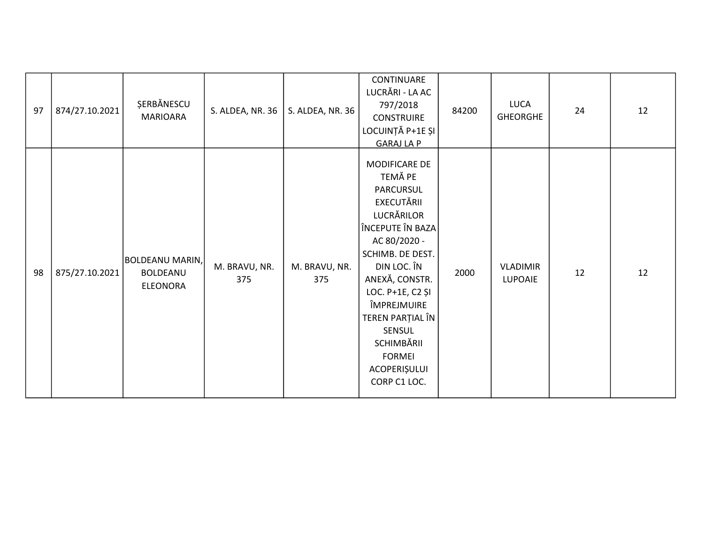| 97 | 874/27.10.2021 | ŞERBĂNESCU<br><b>MARIOARA</b>                  | S. ALDEA, NR. 36     | S. ALDEA, NR. 36     | CONTINUARE<br>LUCRĂRI - LA AC<br>797/2018<br><b>CONSTRUIRE</b><br>LOCUINȚĂ P+1E ȘI<br><b>GARAJ LA P</b>                                                                                                                                                                                    | 84200 | LUCA<br><b>GHEORGHE</b>           | 24 | 12 |
|----|----------------|------------------------------------------------|----------------------|----------------------|--------------------------------------------------------------------------------------------------------------------------------------------------------------------------------------------------------------------------------------------------------------------------------------------|-------|-----------------------------------|----|----|
| 98 | 875/27.10.2021 | BOLDEANU MARIN,<br>BOLDEANU<br><b>ELEONORA</b> | M. BRAVU, NR.<br>375 | M. BRAVU, NR.<br>375 | MODIFICARE DE<br>TEMĂ PE<br>PARCURSUL<br>EXECUTĂRII<br>LUCRĂRILOR<br>ÎNCEPUTE ÎN BAZA<br>AC 80/2020 -<br>SCHIMB. DE DEST.<br>DIN LOC. ÎN<br>ANEXĂ, CONSTR.<br>LOC. P+1E, C2 ȘI<br>ÎMPREJMUIRE<br>TEREN PARȚIAL ÎN<br>SENSUL<br>SCHIMBĂRII<br><b>FORMEI</b><br>ACOPERIȘULUI<br>CORP C1 LOC. | 2000  | <b>VLADIMIR</b><br><b>LUPOAIE</b> | 12 | 12 |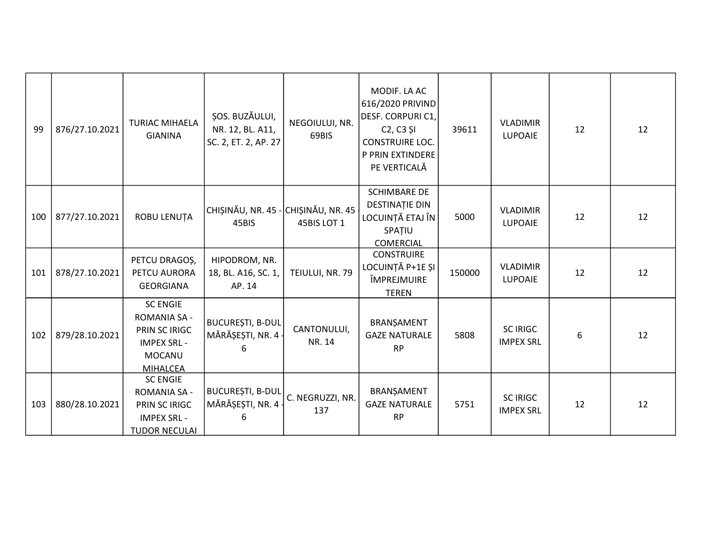| 99  | 876/27.10.2021 | <b>TURIAC MIHAELA</b><br><b>GIANINA</b>                                                                           | ȘOS. BUZĂULUI,<br>NR. 12, BL. A11,<br>SC. 2, ET. 2, AP. 27 | NEGOIULUI, NR.<br>69BIS | MODIF. LA AC<br>616/2020 PRIVIND<br>DESF. CORPURI C1,<br>C <sub>2</sub> , C <sub>3</sub> și<br><b>CONSTRUIRE LOC.</b><br>P PRIN EXTINDERE<br>PE VERTICALĂ | 39611  | <b>VLADIMIR</b><br><b>LUPOAIE</b>   | 12 | 12 |
|-----|----------------|-------------------------------------------------------------------------------------------------------------------|------------------------------------------------------------|-------------------------|-----------------------------------------------------------------------------------------------------------------------------------------------------------|--------|-------------------------------------|----|----|
| 100 | 877/27.10.2021 | ROBU LENUȚA                                                                                                       | CHIȘINĂU, NR. 45 - CHIȘINĂU, NR. 45<br>45BIS               | 45BIS LOT 1             | <b>SCHIMBARE DE</b><br><b>DESTINAȚIE DIN</b><br>LOCUINȚĂ ETAJ ÎN<br>SPATIU<br><b>COMERCIAL</b>                                                            | 5000   | <b>VLADIMIR</b><br>LUPOAIE          | 12 | 12 |
| 101 | 878/27.10.2021 | PETCU DRAGOȘ,<br>PETCU AURORA<br><b>GEORGIANA</b>                                                                 | HIPODROM, NR.<br>18, BL. A16, SC. 1,<br>AP. 14             | TEIULUI, NR. 79         | <b>CONSTRUIRE</b><br>LOCUINȚĂ P+1E ȘI<br>ÎMPREJMUIRE<br><b>TEREN</b>                                                                                      | 150000 | <b>VLADIMIR</b><br><b>LUPOAIE</b>   | 12 | 12 |
| 102 | 879/28.10.2021 | <b>SC ENGIE</b><br><b>ROMANIA SA -</b><br>PRIN SC IRIGC<br><b>IMPEX SRL -</b><br><b>MOCANU</b><br><b>MIHALCEA</b> | <b>BUCUREȘTI, B-DUL</b><br>MĂRĂȘEȘTI, NR. 4<br>հ           | CANTONULUI,<br>NR. 14   | BRANȘAMENT<br><b>GAZE NATURALE</b><br><b>RP</b>                                                                                                           | 5808   | <b>SC IRIGC</b><br><b>IMPEX SRL</b> | 6  | 12 |
| 103 | 880/28.10.2021 | <b>SC ENGIE</b><br><b>ROMANIA SA -</b><br>PRIN SC IRIGC<br><b>IMPEX SRL -</b><br><b>TUDOR NECULAI</b>             | <b>BUCUREȘTI, B-DUL</b><br>MĂRĂȘEȘTI, NR. 4                | C. NEGRUZZI, NR.<br>137 | BRANŞAMENT<br><b>GAZE NATURALE</b><br><b>RP</b>                                                                                                           | 5751   | <b>SC IRIGC</b><br><b>IMPEX SRL</b> | 12 | 12 |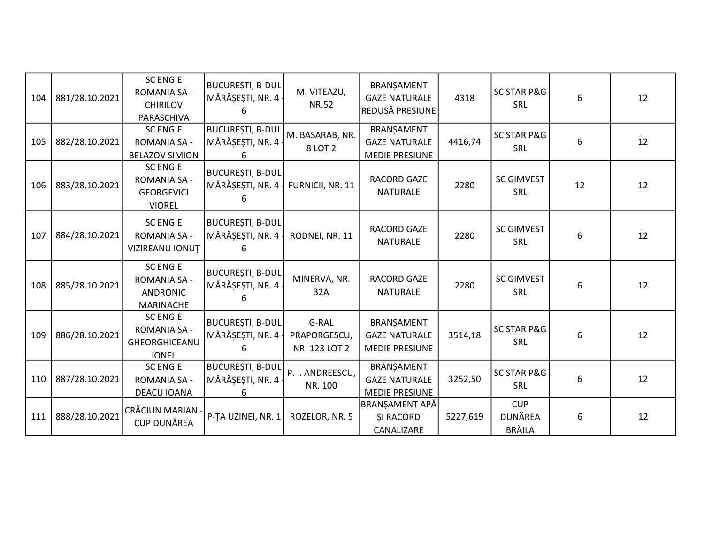| 104 | 881/28.10.2021 | <b>SC ENGIE</b><br><b>ROMANIA SA -</b><br><b>CHIRILOV</b><br>PARASCHIVA       | <b>BUCUREȘTI, B-DUL</b><br>MĂRĂȘEȘTI, NR. 4 -<br>h | M. VITEAZU,<br><b>NR.52</b>            | BRANŞAMENT<br><b>GAZE NATURALE</b><br>REDUSĂ PRESIUNE       | 4318     | <b>SC STAR P&amp;G</b><br><b>SRL</b>          | 6  | 12 |
|-----|----------------|-------------------------------------------------------------------------------|----------------------------------------------------|----------------------------------------|-------------------------------------------------------------|----------|-----------------------------------------------|----|----|
| 105 | 882/28.10.2021 | <b>SC ENGIE</b><br>ROMANIA SA -<br><b>BELAZOV SIMION</b>                      | <b>BUCUREȘTI, B-DUL</b><br>MĂRĂȘEȘTI, NR. 4 ·<br>h | M. BASARAB, NR.<br>8 LOT 2             | BRANȘAMENT<br><b>GAZE NATURALE</b><br><b>MEDIE PRESIUNE</b> | 4416,74  | <b>SC STAR P&amp;G</b><br>SRL                 | 6  | 12 |
| 106 | 883/28.10.2021 | <b>SC ENGIE</b><br><b>ROMANIA SA -</b><br><b>GEORGEVICI</b><br><b>VIOREL</b>  | <b>BUCURESTI, B-DUL</b><br>MĂRĂȘEȘTI, NR. 4<br>h   | FURNICII, NR. 11                       | <b>RACORD GAZE</b><br><b>NATURALE</b>                       | 2280     | <b>SC GIMVEST</b><br><b>SRL</b>               | 12 | 12 |
| 107 | 884/28.10.2021 | <b>SC ENGIE</b><br>ROMANIA SA -<br>VIZIREANU IONUȚ                            | BUCUREȘTI, B-DUL<br>MĂRĂȘEȘTI, NR. 4 -<br>6.       | RODNEI, NR. 11                         | <b>RACORD GAZE</b><br><b>NATURALE</b>                       | 2280     | <b>SC GIMVEST</b><br><b>SRL</b>               | 6  | 12 |
| 108 | 885/28.10.2021 | <b>SC ENGIE</b><br><b>ROMANIA SA -</b><br><b>ANDRONIC</b><br><b>MARINACHE</b> | <b>BUCUREȘTI, B-DUL</b><br>MĂRĂȘEȘTI, NR. 4 -      | MINERVA, NR.<br>32A                    | RACORD GAZE<br><b>NATURALE</b>                              | 2280     | <b>SC GIMVEST</b><br>SRL                      | 6  | 12 |
| 109 | 886/28.10.2021 | <b>SC ENGIE</b><br>ROMANIA SA -<br>GHEORGHICEANU<br><b>IONEL</b>              | <b>BUCURESTI, B-DUL</b><br>MĂRĂȘEȘTI, NR. 4<br>6   | G-RAL<br>PRAPORGESCU,<br>NR. 123 LOT 2 | BRANŞAMENT<br><b>GAZE NATURALE</b><br><b>MEDIE PRESIUNE</b> | 3514,18  | <b>SC STAR P&amp;G</b><br>SRL                 | 6  | 12 |
| 110 | 887/28.10.2021 | <b>SC ENGIE</b><br>ROMANIA SA -<br>DEACU IOANA                                | <b>BUCUREȘTI, B-DUL</b><br>MĂRĂȘEȘTI, NR. 4<br>6   | P. I. ANDREESCU,<br>NR. 100            | BRANŞAMENT<br><b>GAZE NATURALE</b><br><b>MEDIE PRESIUNE</b> | 3252,50  | <b>SC STAR P&amp;G</b><br><b>SRL</b>          | 6  | 12 |
| 111 | 888/28.10.2021 | CRĂCIUN MARIAN -<br><b>CUP DUNĂREA</b>                                        | P-ȚA UZINEI, NR. 1                                 | ROZELOR, NR. 5                         | BRANȘAMENT APĂ<br><b>SI RACORD</b><br>CANALIZARE            | 5227,619 | <b>CUP</b><br><b>DUNĂREA</b><br><b>BRĂILA</b> | 6  | 12 |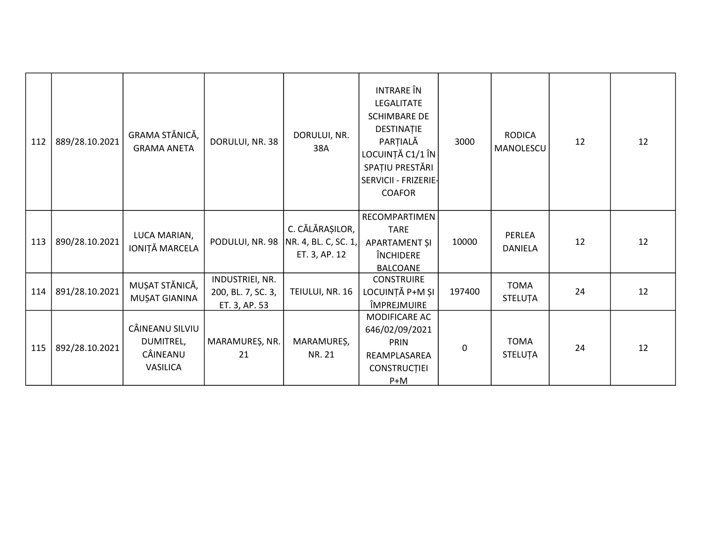| 112 | 889/28.10.2021 | GRAMA STĂNICĂ,<br><b>GRAMA ANETA</b>                        | DORULUI, NR. 38                                        | DORULUI, NR.<br>38A                                      | <b>INTRARE</b> ÎN<br>LEGALITATE<br><b>SCHIMBARE DE</b><br>DESTINAȚIE<br>PARȚIALĂ<br>LOCUINȚĂ C1/1 ÎN<br>SPAȚIU PRESTĂRI<br>SERVICII - FRIZERIE-<br><b>COAFOR</b> | 3000   | <b>RODICA</b><br>MANOLESCU | 12 | 12 |
|-----|----------------|-------------------------------------------------------------|--------------------------------------------------------|----------------------------------------------------------|------------------------------------------------------------------------------------------------------------------------------------------------------------------|--------|----------------------------|----|----|
| 113 | 890/28.10.2021 | LUCA MARIAN,<br>IONIȚĂ MARCELA                              | PODULUI, NR. 98                                        | C. CĂLĂRAȘILOR,<br>NR. 4, BL. C, SC. 1,<br>ET. 3, AP. 12 | RECOMPARTIMEN<br><b>TARE</b><br>APARTAMENT ȘI<br>ÎNCHIDERE<br><b>BALCOANE</b>                                                                                    | 10000  | PERLEA<br><b>DANIELA</b>   | 12 | 12 |
| 114 | 891/28.10.2021 | MUȘAT STĂNICĂ,<br>MUȘAT GIANINA                             | INDUSTRIEI, NR.<br>200, BL. 7, SC. 3,<br>ET. 3, AP. 53 | TEIULUI, NR. 16                                          | <b>CONSTRUIRE</b><br>LOCUINȚĂ P+M ȘI<br>ÎMPREJMUIRE                                                                                                              | 197400 | <b>TOMA</b><br>STELUȚA     | 24 | 12 |
| 115 | 892/28.10.2021 | CÂINEANU SILVIU<br>DUMITREL,<br>CÂINEANU<br><b>VASILICA</b> | MARAMUREȘ, NR.<br>21                                   | MARAMUREȘ,<br>NR. 21                                     | MODIFICARE AC<br>646/02/09/2021<br><b>PRIN</b><br>REAMPLASAREA<br><b>CONSTRUCTIEI</b><br>$P+M$                                                                   | 0      | <b>TOMA</b><br>STELUȚA     | 24 | 12 |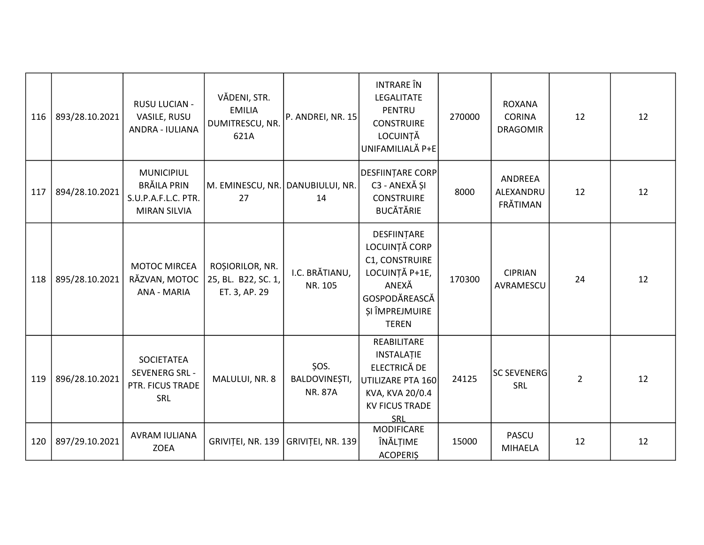| 116 | 893/28.10.2021 | RUSU LUCIAN -<br>VASILE, RUSU<br>ANDRA - IULIANA                                      | VĂDENI, STR.<br><b>EMILIA</b><br>DUMITRESCU, NR.<br>621A | P. ANDREI, NR. 15                       | <b>INTRARE</b> ÎN<br>LEGALITATE<br><b>PENTRU</b><br><b>CONSTRUIRE</b><br>LOCUINȚĂ<br>UNIFAMILIALĂ P+E                        | 270000 | <b>ROXANA</b><br><b>CORINA</b><br><b>DRAGOMIR</b> | 12             | 12 |
|-----|----------------|---------------------------------------------------------------------------------------|----------------------------------------------------------|-----------------------------------------|------------------------------------------------------------------------------------------------------------------------------|--------|---------------------------------------------------|----------------|----|
| 117 | 894/28.10.2021 | <b>MUNICIPIUL</b><br><b>BRĂILA PRIN</b><br>S.U.P.A.F.L.C. PTR.<br><b>MIRAN SILVIA</b> | M. EMINESCU, NR. DANUBIULUI, NR.<br>27                   | 14                                      | <b>DESFIINTARE CORP</b><br>C3 - ANEXĂ ȘI<br><b>CONSTRUIRE</b><br><b>BUCĂTĂRIE</b>                                            | 8000   | ANDREEA<br>ALEXANDRU<br>FRĂTIMAN                  | 12             | 12 |
| 118 | 895/28.10.2021 | <b>MOTOC MIRCEA</b><br>RĂZVAN, MOTOC<br>ANA - MARIA                                   | ROȘIORILOR, NR.<br>25, BL. B22, SC. 1,<br>ET. 3, AP. 29  | I.C. BRĂTIANU,<br>NR. 105               | DESFIINTARE<br>LOCUINȚĂ CORP<br>C1, CONSTRUIRE<br>LOCUINȚĂ P+1E,<br>ANEXĂ<br>GOSPODĂREASCĂ<br>ȘI ÎMPREJMUIRE<br><b>TEREN</b> | 170300 | <b>CIPRIAN</b><br>AVRAMESCU                       | 24             | 12 |
| 119 | 896/28.10.2021 | <b>SOCIETATEA</b><br><b>SEVENERG SRL -</b><br>PTR. FICUS TRADE<br>SRL                 | MALULUI, NR. 8                                           | ŞOS.<br>BALDOVINEȘTI,<br><b>NR. 87A</b> | REABILITARE<br><b>INSTALATIE</b><br>ELECTRICĂ DE<br>UTILIZARE PTA 160<br>KVA, KVA 20/0.4<br><b>KV FICUS TRADE</b><br>SRL     | 24125  | <b>SC SEVENERG</b><br>SRL                         | $\overline{2}$ | 12 |
| 120 | 897/29.10.2021 | <b>AVRAM IULIANA</b><br><b>ZOEA</b>                                                   | GRIVIȚEI, NR. 139                                        | GRIVIȚEI, NR. 139                       | <b>MODIFICARE</b><br>ÎNĂLȚIME<br><b>ACOPERIS</b>                                                                             | 15000  | <b>PASCU</b><br><b>MIHAELA</b>                    | 12             | 12 |